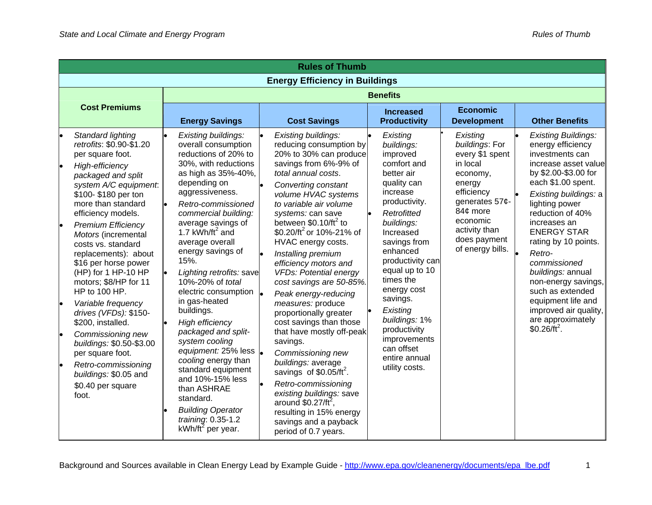|                      | <b>Rules of Thumb</b>                                                                                                                                                                                                                                                                                                                                                                                                                                                                                                                                                                                                           |                                                                                                                                                                                                                                                                                                                                                                                                                                                                                                                                                                                                                                                                                          |                                                                                                                                                                                                                                                                                                                                                                                                                                                                                                                                                                                                                                                                                                                                                                                                       |                                                                                                                                                                                                                                                                                                                                                                               |                                                                                                                                                                                              |                                                                                                                                                                                                                                                                                                                                                                                                                                                                 |  |
|----------------------|---------------------------------------------------------------------------------------------------------------------------------------------------------------------------------------------------------------------------------------------------------------------------------------------------------------------------------------------------------------------------------------------------------------------------------------------------------------------------------------------------------------------------------------------------------------------------------------------------------------------------------|------------------------------------------------------------------------------------------------------------------------------------------------------------------------------------------------------------------------------------------------------------------------------------------------------------------------------------------------------------------------------------------------------------------------------------------------------------------------------------------------------------------------------------------------------------------------------------------------------------------------------------------------------------------------------------------|-------------------------------------------------------------------------------------------------------------------------------------------------------------------------------------------------------------------------------------------------------------------------------------------------------------------------------------------------------------------------------------------------------------------------------------------------------------------------------------------------------------------------------------------------------------------------------------------------------------------------------------------------------------------------------------------------------------------------------------------------------------------------------------------------------|-------------------------------------------------------------------------------------------------------------------------------------------------------------------------------------------------------------------------------------------------------------------------------------------------------------------------------------------------------------------------------|----------------------------------------------------------------------------------------------------------------------------------------------------------------------------------------------|-----------------------------------------------------------------------------------------------------------------------------------------------------------------------------------------------------------------------------------------------------------------------------------------------------------------------------------------------------------------------------------------------------------------------------------------------------------------|--|
|                      | <b>Energy Efficiency in Buildings</b>                                                                                                                                                                                                                                                                                                                                                                                                                                                                                                                                                                                           |                                                                                                                                                                                                                                                                                                                                                                                                                                                                                                                                                                                                                                                                                          |                                                                                                                                                                                                                                                                                                                                                                                                                                                                                                                                                                                                                                                                                                                                                                                                       |                                                                                                                                                                                                                                                                                                                                                                               |                                                                                                                                                                                              |                                                                                                                                                                                                                                                                                                                                                                                                                                                                 |  |
|                      |                                                                                                                                                                                                                                                                                                                                                                                                                                                                                                                                                                                                                                 |                                                                                                                                                                                                                                                                                                                                                                                                                                                                                                                                                                                                                                                                                          | <b>Benefits</b>                                                                                                                                                                                                                                                                                                                                                                                                                                                                                                                                                                                                                                                                                                                                                                                       |                                                                                                                                                                                                                                                                                                                                                                               |                                                                                                                                                                                              |                                                                                                                                                                                                                                                                                                                                                                                                                                                                 |  |
| <b>Cost Premiums</b> |                                                                                                                                                                                                                                                                                                                                                                                                                                                                                                                                                                                                                                 | <b>Energy Savings</b>                                                                                                                                                                                                                                                                                                                                                                                                                                                                                                                                                                                                                                                                    | <b>Cost Savings</b>                                                                                                                                                                                                                                                                                                                                                                                                                                                                                                                                                                                                                                                                                                                                                                                   | <b>Increased</b><br><b>Productivity</b>                                                                                                                                                                                                                                                                                                                                       | <b>Economic</b><br><b>Development</b>                                                                                                                                                        | <b>Other Benefits</b>                                                                                                                                                                                                                                                                                                                                                                                                                                           |  |
|                      | Standard lighting<br>retrofits: \$0.90-\$1.20<br>per square foot.<br><b>High-efficiency</b><br>packaged and split<br>system A/C equipment.<br>\$100-\$180 per ton<br>more than standard<br>efficiency models.<br><b>Premium Efficiency</b><br>Motors (incremental<br>costs vs. standard<br>replacements): about<br>\$16 per horse power<br>(HP) for 1 HP-10 HP<br>motors; \$8/HP for 11<br>HP to 100 HP.<br>Variable frequency<br>drives (VFDs): \$150-<br>\$200, installed.<br>Commissioning new<br>buildings: \$0.50-\$3.00<br>per square foot.<br>Retro-commissioning<br>buildings: \$0.05 and<br>\$0.40 per square<br>foot. | Existing buildings:<br>overall consumption<br>reductions of 20% to<br>30%, with reductions<br>as high as 35%-40%,<br>depending on<br>aggressiveness.<br>Retro-commissioned<br>commercial building:<br>average savings of<br>1.7 kWh/ft <sup>2</sup> and<br>average overall<br>energy savings of<br>15%.<br>Lighting retrofits: save<br>10%-20% of total<br>electric consumption<br>in gas-heated<br>buildings.<br><b>High efficiency</b><br>packaged and split-<br>system cooling<br>equipment: 25% less<br>cooling energy than<br>standard equipment<br>and 10%-15% less<br>than ASHRAE<br>standard.<br><b>Building Operator</b><br>training: 0.35-1.2<br>kWh/ft <sup>2</sup> per year. | Existing buildings:<br>reducing consumption by<br>20% to 30% can produce<br>savings from 6%-9% of<br>total annual costs.<br>Converting constant<br>volume HVAC systems<br>to variable air volume<br>systems: can save<br>between $$0.10/ft^2$ to<br>\$0.20/ft <sup>2</sup> or 10%-21% of<br>HVAC energy costs.<br>Installing premium<br>efficiency motors and<br><b>VFDs: Potential energy</b><br>cost savings are 50-85%.<br>Peak energy-reducing<br>measures: produce<br>proportionally greater<br>cost savings than those<br>that have mostly off-peak<br>savings.<br>Commissioning new<br>buildings: average<br>savings of $$0.05/ft^2$ .<br>Retro-commissioning<br>existing buildings: save<br>around $$0.27/ft^2$ ,<br>resulting in 15% energy<br>savings and a payback<br>period of 0.7 years. | Existing<br>buildings:<br>improved<br>comfort and<br>better air<br>quality can<br>increase<br>productivity.<br>Retrofitted<br>buildings:<br>Increased<br>savings from<br>enhanced<br>productivity can<br>equal up to 10<br>times the<br>energy cost<br>savings.<br>Existing<br>buildings: 1%<br>productivity<br>improvements<br>can offset<br>entire annual<br>utility costs. | Existing<br>buildings: For<br>every \$1 spent<br>in local<br>economy,<br>energy<br>efficiency<br>generates 57¢-<br>84¢ more<br>economic<br>activity than<br>does payment<br>of energy bills. | <b>Existing Buildings:</b><br>energy efficiency<br>investments can<br>increase asset value<br>by \$2.00-\$3.00 for<br>each \$1.00 spent.<br>Existing buildings: a<br>lighting power<br>reduction of 40%<br>increases an<br><b>ENERGY STAR</b><br>rating by 10 points.<br>Retro-<br>commissioned<br>buildings: annual<br>non-energy savings,<br>such as extended<br>equipment life and<br>improved air quality,<br>are approximately<br>\$0.26/ft <sup>2</sup> . |  |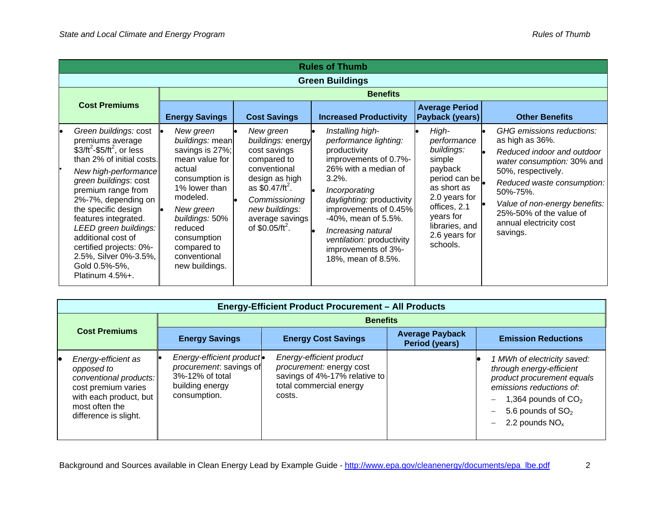| <b>Rules of Thumb</b> |                                                                                                                                                                                                                                                                                                                                                                                            |                                                                                                                                                                                                                                      |                                                                                                                                                                                                           |                                                                                                                                                                                                                                                                                                                       |                                                                                                                                                                                      |                                                                                                                                                                                                                                                                             |  |  |
|-----------------------|--------------------------------------------------------------------------------------------------------------------------------------------------------------------------------------------------------------------------------------------------------------------------------------------------------------------------------------------------------------------------------------------|--------------------------------------------------------------------------------------------------------------------------------------------------------------------------------------------------------------------------------------|-----------------------------------------------------------------------------------------------------------------------------------------------------------------------------------------------------------|-----------------------------------------------------------------------------------------------------------------------------------------------------------------------------------------------------------------------------------------------------------------------------------------------------------------------|--------------------------------------------------------------------------------------------------------------------------------------------------------------------------------------|-----------------------------------------------------------------------------------------------------------------------------------------------------------------------------------------------------------------------------------------------------------------------------|--|--|
|                       | <b>Green Buildings</b>                                                                                                                                                                                                                                                                                                                                                                     |                                                                                                                                                                                                                                      |                                                                                                                                                                                                           |                                                                                                                                                                                                                                                                                                                       |                                                                                                                                                                                      |                                                                                                                                                                                                                                                                             |  |  |
|                       | <b>Benefits</b>                                                                                                                                                                                                                                                                                                                                                                            |                                                                                                                                                                                                                                      |                                                                                                                                                                                                           |                                                                                                                                                                                                                                                                                                                       |                                                                                                                                                                                      |                                                                                                                                                                                                                                                                             |  |  |
| <b>Cost Premiums</b>  |                                                                                                                                                                                                                                                                                                                                                                                            | <b>Energy Savings</b>                                                                                                                                                                                                                | <b>Cost Savings</b>                                                                                                                                                                                       | <b>Increased Productivity</b>                                                                                                                                                                                                                                                                                         | <b>Average Period</b><br>Payback (years)                                                                                                                                             | <b>Other Benefits</b>                                                                                                                                                                                                                                                       |  |  |
|                       | Green buildings: cost<br>premiums average<br>$$3/ft^2$-$5/ft^2$ , or less<br>than 2% of initial costs.<br>New high-performance<br>green buildings: cost<br>premium range from<br>2%-7%, depending on<br>the specific design<br>features integrated.<br>LEED green buildings:<br>additional cost of<br>certified projects: 0%-<br>2.5%, Silver 0%-3.5%,<br>Gold 0.5%-5%,<br>Platinum 4.5%+. | New green<br>buildings: mean<br>savings is 27%;<br>mean value for<br>actual<br>consumption is<br>1% lower than<br>modeled.<br>New green<br>buildings: 50%<br>reduced<br>consumption<br>compared to<br>conventional<br>new buildings. | New green<br>buildings: energy<br>cost savings<br>compared to<br>conventional<br>design as high<br>as $$0.47/ft^2$ .<br>Commissioning<br>new buildings:<br>average savings<br>of \$0.05/ft <sup>2</sup> . | Installing high-<br>performance lighting:<br>productivity<br>improvements of 0.7%-<br>26% with a median of<br>$3.2\%$ .<br>Incorporating<br>daylighting: productivity<br>improvements of 0.45%<br>-40%, mean of 5.5%.<br>Increasing natural<br>ventilation: productivity<br>improvements of 3%-<br>18%, mean of 8.5%. | High-<br>performance<br>buildings:<br>simple<br>payback<br>period can be<br>as short as<br>2.0 years for<br>offices, 2.1<br>years for<br>libraries, and<br>2.6 years for<br>schools. | GHG emissions reductions:<br>as high as 36%.<br>Reduced indoor and outdoor<br>water consumption: 30% and<br>50%, respectively.<br>Reduced waste consumption:<br>50%-75%.<br>Value of non-energy benefits:<br>25%-50% of the value of<br>annual electricity cost<br>savings. |  |  |

| <b>Energy-Efficient Product Procurement - All Products</b>                                                                                              |                                                                                                            |                                                                                                                            |                                          |                                                                                                                                                                                                                             |  |  |
|---------------------------------------------------------------------------------------------------------------------------------------------------------|------------------------------------------------------------------------------------------------------------|----------------------------------------------------------------------------------------------------------------------------|------------------------------------------|-----------------------------------------------------------------------------------------------------------------------------------------------------------------------------------------------------------------------------|--|--|
|                                                                                                                                                         | <b>Benefits</b>                                                                                            |                                                                                                                            |                                          |                                                                                                                                                                                                                             |  |  |
| <b>Cost Premiums</b>                                                                                                                                    | <b>Energy Savings</b>                                                                                      | <b>Energy Cost Savings</b>                                                                                                 | <b>Average Payback</b><br>Period (years) | <b>Emission Reductions</b>                                                                                                                                                                                                  |  |  |
| Energy-efficient as<br>opposed to<br>conventional products:<br>cost premium varies<br>with each product, but<br>most often the<br>difference is slight. | Energy-efficient product.<br>procurement: savings of<br>3%-12% of total<br>building energy<br>consumption. | Energy-efficient product<br>procurement: energy cost<br>savings of 4%-17% relative to<br>total commercial energy<br>costs. |                                          | 1 MWh of electricity saved:<br>through energy-efficient<br>product procurement equals<br>emissions reductions of.<br>1,364 pounds of $CO2$<br>-<br>5.6 pounds of $SO2$<br>$\overline{\phantom{0}}$<br>2.2 pounds $NOx$<br>— |  |  |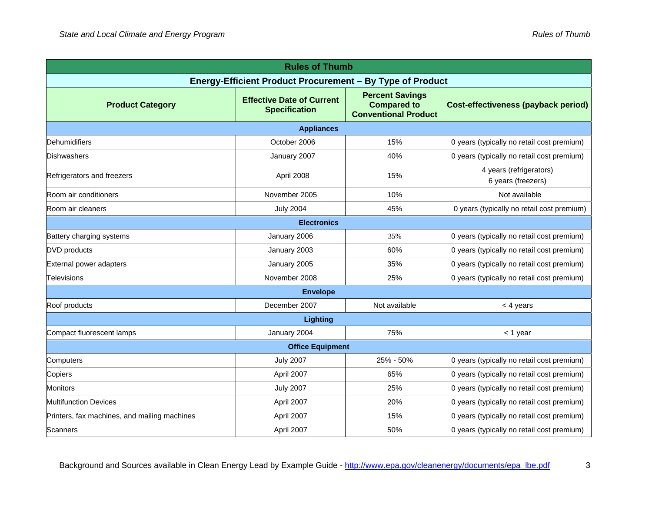| <b>Rules of Thumb</b>                        |                                                           |                                                                             |                                               |  |  |  |
|----------------------------------------------|-----------------------------------------------------------|-----------------------------------------------------------------------------|-----------------------------------------------|--|--|--|
|                                              | Energy-Efficient Product Procurement - By Type of Product |                                                                             |                                               |  |  |  |
| <b>Product Category</b>                      | <b>Effective Date of Current</b><br><b>Specification</b>  | <b>Percent Savings</b><br><b>Compared to</b><br><b>Conventional Product</b> | <b>Cost-effectiveness (payback period)</b>    |  |  |  |
| <b>Appliances</b>                            |                                                           |                                                                             |                                               |  |  |  |
| <b>Dehumidifiers</b>                         | October 2006                                              | 15%                                                                         | 0 years (typically no retail cost premium)    |  |  |  |
| <b>Dishwashers</b>                           | January 2007                                              | 40%                                                                         | 0 years (typically no retail cost premium)    |  |  |  |
| Refrigerators and freezers                   | April 2008                                                | 15%                                                                         | 4 years (refrigerators)<br>6 years (freezers) |  |  |  |
| Room air conditioners                        | November 2005                                             | 10%                                                                         | Not available                                 |  |  |  |
| Room air cleaners                            | <b>July 2004</b>                                          | 45%                                                                         | 0 years (typically no retail cost premium)    |  |  |  |
|                                              | <b>Electronics</b>                                        |                                                                             |                                               |  |  |  |
| Battery charging systems                     | January 2006                                              | 35%                                                                         | 0 years (typically no retail cost premium)    |  |  |  |
| <b>DVD</b> products                          | January 2003                                              | 60%                                                                         | 0 years (typically no retail cost premium)    |  |  |  |
| External power adapters                      | January 2005                                              | 35%                                                                         | 0 years (typically no retail cost premium)    |  |  |  |
| <b>Televisions</b>                           | November 2008                                             | 25%                                                                         | 0 years (typically no retail cost premium)    |  |  |  |
| <b>Envelope</b>                              |                                                           |                                                                             |                                               |  |  |  |
| Roof products                                | December 2007                                             | Not available                                                               | $<$ 4 years                                   |  |  |  |
|                                              | <b>Lighting</b>                                           |                                                                             |                                               |  |  |  |
| Compact fluorescent lamps                    | January 2004                                              | 75%                                                                         | $<$ 1 year                                    |  |  |  |
|                                              | <b>Office Equipment</b>                                   |                                                                             |                                               |  |  |  |
| Computers                                    | <b>July 2007</b>                                          | 25% - 50%                                                                   | 0 years (typically no retail cost premium)    |  |  |  |
| Copiers                                      | April 2007                                                | 65%                                                                         | 0 years (typically no retail cost premium)    |  |  |  |
| <b>Monitors</b>                              | <b>July 2007</b>                                          | 25%                                                                         | 0 years (typically no retail cost premium)    |  |  |  |
| <b>Multifunction Devices</b>                 | April 2007                                                | 20%                                                                         | 0 years (typically no retail cost premium)    |  |  |  |
| Printers, fax machines, and mailing machines | April 2007                                                | 15%                                                                         | 0 years (typically no retail cost premium)    |  |  |  |
| Scanners                                     | April 2007                                                | 50%                                                                         | 0 years (typically no retail cost premium)    |  |  |  |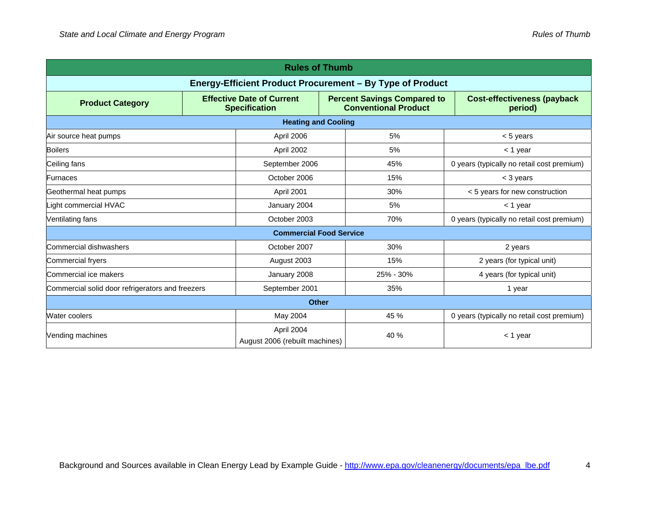| <b>Rules of Thumb</b>                                     |  |                                                                                                                               |  |                                               |                                            |  |
|-----------------------------------------------------------|--|-------------------------------------------------------------------------------------------------------------------------------|--|-----------------------------------------------|--------------------------------------------|--|
| Energy-Efficient Product Procurement - By Type of Product |  |                                                                                                                               |  |                                               |                                            |  |
| <b>Product Category</b>                                   |  | <b>Effective Date of Current</b><br><b>Percent Savings Compared to</b><br><b>Conventional Product</b><br><b>Specification</b> |  | <b>Cost-effectiveness (payback</b><br>period) |                                            |  |
|                                                           |  | <b>Heating and Cooling</b>                                                                                                    |  |                                               |                                            |  |
| Air source heat pumps                                     |  | April 2006                                                                                                                    |  | 5%                                            | $< 5$ years                                |  |
| <b>Boilers</b>                                            |  | April 2002                                                                                                                    |  | 5%                                            | $<$ 1 year                                 |  |
| Ceiling fans                                              |  | September 2006                                                                                                                |  | 45%                                           | 0 years (typically no retail cost premium) |  |
| Furnaces                                                  |  | October 2006                                                                                                                  |  | 15%                                           | < 3 years                                  |  |
| Geothermal heat pumps                                     |  | April 2001                                                                                                                    |  | 30%                                           | < 5 years for new construction             |  |
| ight commercial HVAC                                      |  | January 2004                                                                                                                  |  | 5%                                            | $<$ 1 year                                 |  |
| Ventilating fans                                          |  | October 2003                                                                                                                  |  | 70%                                           | 0 years (typically no retail cost premium) |  |
| <b>Commercial Food Service</b>                            |  |                                                                                                                               |  |                                               |                                            |  |
| Commercial dishwashers                                    |  | October 2007                                                                                                                  |  | 30%                                           | 2 years                                    |  |
| <b>Commercial fryers</b>                                  |  | August 2003                                                                                                                   |  | 15%                                           | 2 years (for typical unit)                 |  |
| Commercial ice makers                                     |  | January 2008                                                                                                                  |  | 25% - 30%                                     | 4 years (for typical unit)                 |  |
| Commercial solid door refrigerators and freezers          |  | September 2001                                                                                                                |  | 35%                                           | 1 year                                     |  |
| <b>Other</b>                                              |  |                                                                                                                               |  |                                               |                                            |  |
| Water coolers                                             |  | May 2004                                                                                                                      |  | 45 %                                          | 0 years (typically no retail cost premium) |  |
| Vending machines                                          |  | April 2004<br>August 2006 (rebuilt machines)                                                                                  |  | 40 %                                          | $<$ 1 year                                 |  |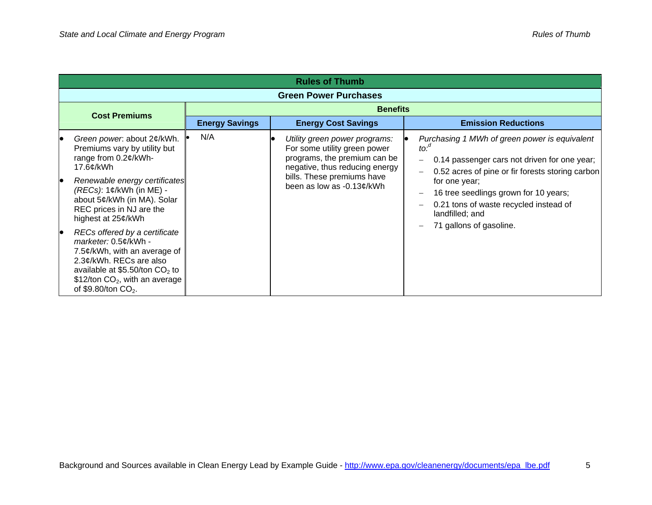|                      | <b>Rules of Thumb</b>                                                                                                                                                                                             |                       |                                                                                                                                 |                                                                                                                                                                                            |  |  |  |  |  |
|----------------------|-------------------------------------------------------------------------------------------------------------------------------------------------------------------------------------------------------------------|-----------------------|---------------------------------------------------------------------------------------------------------------------------------|--------------------------------------------------------------------------------------------------------------------------------------------------------------------------------------------|--|--|--|--|--|
|                      |                                                                                                                                                                                                                   |                       | <b>Green Power Purchases</b>                                                                                                    |                                                                                                                                                                                            |  |  |  |  |  |
| <b>Cost Premiums</b> |                                                                                                                                                                                                                   | <b>Benefits</b>       |                                                                                                                                 |                                                                                                                                                                                            |  |  |  |  |  |
|                      |                                                                                                                                                                                                                   | <b>Energy Savings</b> | <b>Energy Cost Savings</b>                                                                                                      | <b>Emission Reductions</b>                                                                                                                                                                 |  |  |  |  |  |
|                      | Green power. about 2¢/kWh.<br>Premiums vary by utility but<br>range from 0.2¢/kWh-<br>17.6¢/kWh                                                                                                                   | N/A                   | Utility green power programs:<br>For some utility green power<br>programs, the premium can be<br>negative, thus reducing energy | Purchasing 1 MWh of green power is equivalent<br>$to:$ <sup><math>\degree</math></sup><br>0.14 passenger cars not driven for one year;<br>0.52 acres of pine or fir forests storing carbon |  |  |  |  |  |
|                      | Renewable energy certificates<br>$(REG): 1¢/kWh$ (in ME) -<br>about 5¢/kWh (in MA). Solar<br>REC prices in NJ are the<br>highest at 25¢/kWh                                                                       |                       | bills. These premiums have<br>been as low as -0.13¢/kWh                                                                         | for one year;<br>16 tree seedlings grown for 10 years;<br>0.21 tons of waste recycled instead of<br>landfilled; and                                                                        |  |  |  |  |  |
|                      | RECs offered by a certificate<br>marketer: 0.5¢/kWh -<br>7.5¢/kWh, with an average of<br>2.3¢/kWh. RECs are also<br>available at \$5.50/ton $CO2$ to<br>\$12/ton $CO2$ , with an average<br>of \$9.80/ton $CO2$ . |                       |                                                                                                                                 | 71 gallons of gasoline.                                                                                                                                                                    |  |  |  |  |  |